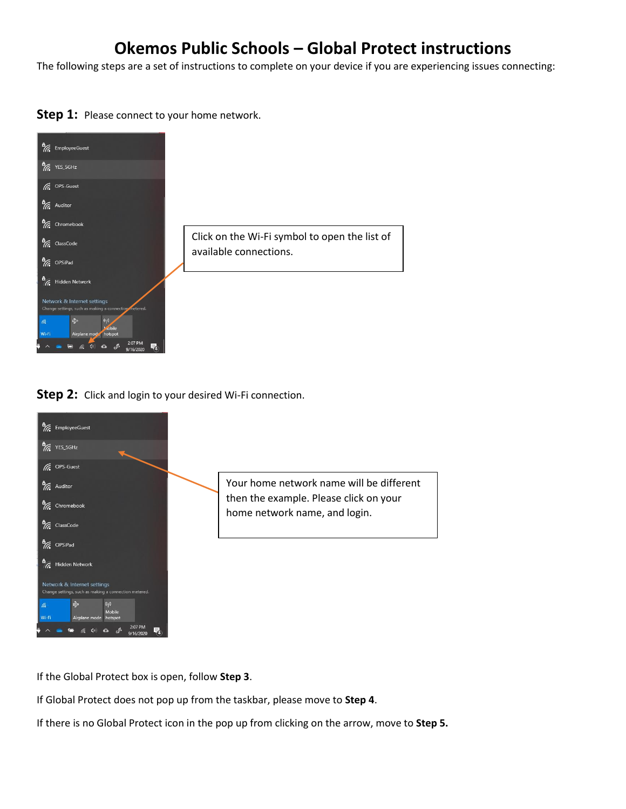## **Okemos Public Schools – Global Protect instructions**

The following steps are a set of instructions to complete on your device if you are experiencing issues connecting:

**Step 1:** Please connect to your home network.



**Step 2:** Click and login to your desired Wi-Fi connection.



If the Global Protect box is open, follow **Step 3**.

If Global Protect does not pop up from the taskbar, please move to **Step 4**.

If there is no Global Protect icon in the pop up from clicking on the arrow, move to **Step 5.**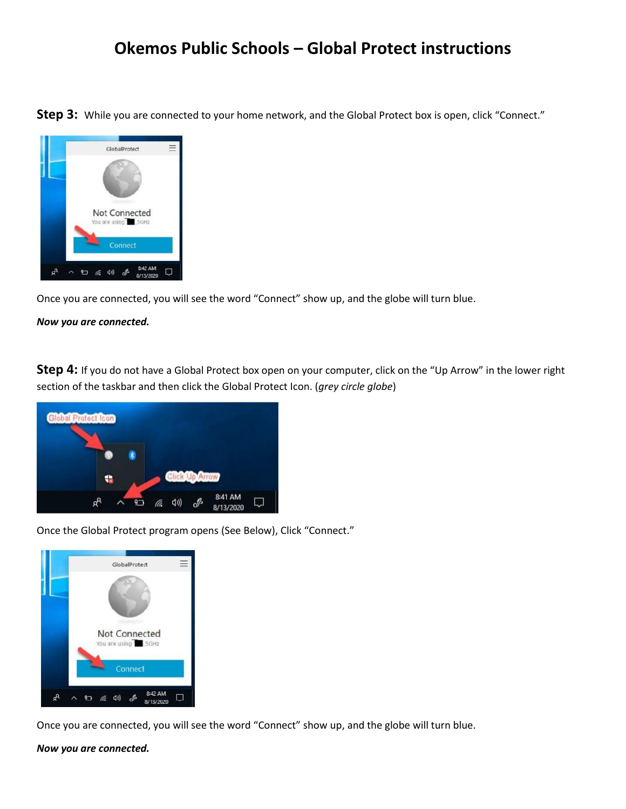## **Okemos Public Schools – Global Protect instructions**

**Step 3:** While you are connected to your home network, and the Global Protect box is open, click "Connect."



Once you are connected, you will see the word "Connect" show up, and the globe will turn blue.

*Now you are connected.* 

**Step 4:** If you do not have a Global Protect box open on your computer, click on the "Up Arrow" in the lower right section of the taskbar and then click the Global Protect Icon. (*grey circle globe*)



Once the Global Protect program opens (See Below), Click "Connect."



Once you are connected, you will see the word "Connect" show up, and the globe will turn blue.

*Now you are connected.*